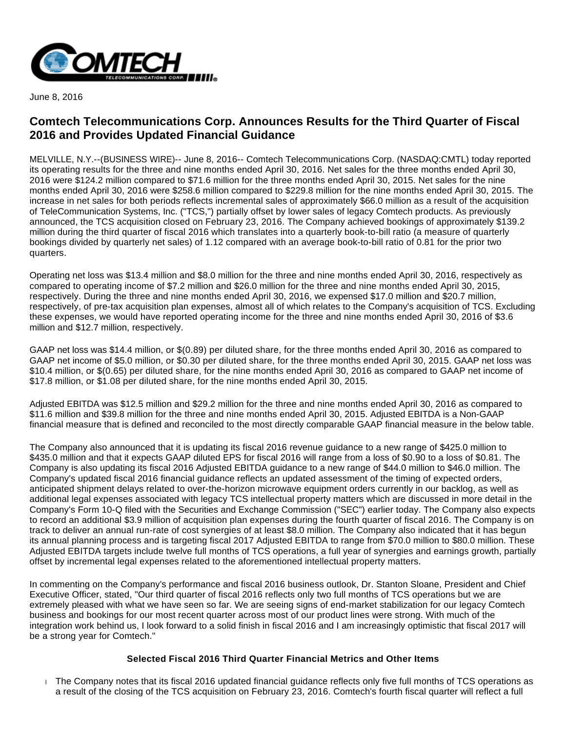

June 8, 2016

# **Comtech Telecommunications Corp. Announces Results for the Third Quarter of Fiscal 2016 and Provides Updated Financial Guidance**

MELVILLE, N.Y.--(BUSINESS WIRE)-- June 8, 2016-- Comtech Telecommunications Corp. (NASDAQ:CMTL) today reported its operating results for the three and nine months ended April 30, 2016. Net sales for the three months ended April 30, 2016 were \$124.2 million compared to \$71.6 million for the three months ended April 30, 2015. Net sales for the nine months ended April 30, 2016 were \$258.6 million compared to \$229.8 million for the nine months ended April 30, 2015. The increase in net sales for both periods reflects incremental sales of approximately \$66.0 million as a result of the acquisition of TeleCommunication Systems, Inc. ("TCS,") partially offset by lower sales of legacy Comtech products. As previously announced, the TCS acquisition closed on February 23, 2016. The Company achieved bookings of approximately \$139.2 million during the third quarter of fiscal 2016 which translates into a quarterly book-to-bill ratio (a measure of quarterly bookings divided by quarterly net sales) of 1.12 compared with an average book-to-bill ratio of 0.81 for the prior two quarters.

Operating net loss was \$13.4 million and \$8.0 million for the three and nine months ended April 30, 2016, respectively as compared to operating income of \$7.2 million and \$26.0 million for the three and nine months ended April 30, 2015, respectively. During the three and nine months ended April 30, 2016, we expensed \$17.0 million and \$20.7 million, respectively, of pre-tax acquisition plan expenses, almost all of which relates to the Company's acquisition of TCS. Excluding these expenses, we would have reported operating income for the three and nine months ended April 30, 2016 of \$3.6 million and \$12.7 million, respectively.

GAAP net loss was \$14.4 million, or \$(0.89) per diluted share, for the three months ended April 30, 2016 as compared to GAAP net income of \$5.0 million, or \$0.30 per diluted share, for the three months ended April 30, 2015. GAAP net loss was \$10.4 million, or \$(0.65) per diluted share, for the nine months ended April 30, 2016 as compared to GAAP net income of \$17.8 million, or \$1.08 per diluted share, for the nine months ended April 30, 2015.

Adjusted EBITDA was \$12.5 million and \$29.2 million for the three and nine months ended April 30, 2016 as compared to \$11.6 million and \$39.8 million for the three and nine months ended April 30, 2015. Adjusted EBITDA is a Non-GAAP financial measure that is defined and reconciled to the most directly comparable GAAP financial measure in the below table.

The Company also announced that it is updating its fiscal 2016 revenue guidance to a new range of \$425.0 million to \$435.0 million and that it expects GAAP diluted EPS for fiscal 2016 will range from a loss of \$0.90 to a loss of \$0.81. The Company is also updating its fiscal 2016 Adjusted EBITDA guidance to a new range of \$44.0 million to \$46.0 million. The Company's updated fiscal 2016 financial guidance reflects an updated assessment of the timing of expected orders, anticipated shipment delays related to over-the-horizon microwave equipment orders currently in our backlog, as well as additional legal expenses associated with legacy TCS intellectual property matters which are discussed in more detail in the Company's Form 10-Q filed with the Securities and Exchange Commission ("SEC") earlier today. The Company also expects to record an additional \$3.9 million of acquisition plan expenses during the fourth quarter of fiscal 2016. The Company is on track to deliver an annual run-rate of cost synergies of at least \$8.0 million. The Company also indicated that it has begun its annual planning process and is targeting fiscal 2017 Adjusted EBITDA to range from \$70.0 million to \$80.0 million. These Adjusted EBITDA targets include twelve full months of TCS operations, a full year of synergies and earnings growth, partially offset by incremental legal expenses related to the aforementioned intellectual property matters.

In commenting on the Company's performance and fiscal 2016 business outlook, Dr. Stanton Sloane, President and Chief Executive Officer, stated, "Our third quarter of fiscal 2016 reflects only two full months of TCS operations but we are extremely pleased with what we have seen so far. We are seeing signs of end-market stabilization for our legacy Comtech business and bookings for our most recent quarter across most of our product lines were strong. With much of the integration work behind us, I look forward to a solid finish in fiscal 2016 and I am increasingly optimistic that fiscal 2017 will be a strong year for Comtech."

### **Selected Fiscal 2016 Third Quarter Financial Metrics and Other Items**

The Company notes that its fiscal 2016 updated financial guidance reflects only five full months of TCS operations as a result of the closing of the TCS acquisition on February 23, 2016. Comtech's fourth fiscal quarter will reflect a full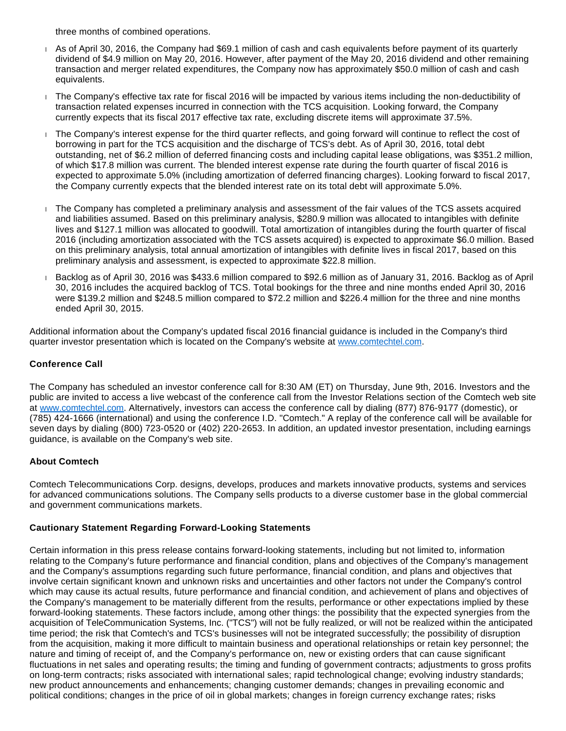three months of combined operations.

- As of April 30, 2016, the Company had \$69.1 million of cash and cash equivalents before payment of its quarterly dividend of \$4.9 million on May 20, 2016. However, after payment of the May 20, 2016 dividend and other remaining transaction and merger related expenditures, the Company now has approximately \$50.0 million of cash and cash equivalents.
- The Company's effective tax rate for fiscal 2016 will be impacted by various items including the non-deductibility of transaction related expenses incurred in connection with the TCS acquisition. Looking forward, the Company currently expects that its fiscal 2017 effective tax rate, excluding discrete items will approximate 37.5%.
- The Company's interest expense for the third quarter reflects, and going forward will continue to reflect the cost of borrowing in part for the TCS acquisition and the discharge of TCS's debt. As of April 30, 2016, total debt outstanding, net of \$6.2 million of deferred financing costs and including capital lease obligations, was \$351.2 million, of which \$17.8 million was current. The blended interest expense rate during the fourth quarter of fiscal 2016 is expected to approximate 5.0% (including amortization of deferred financing charges). Looking forward to fiscal 2017, the Company currently expects that the blended interest rate on its total debt will approximate 5.0%.
- The Company has completed a preliminary analysis and assessment of the fair values of the TCS assets acquired and liabilities assumed. Based on this preliminary analysis, \$280.9 million was allocated to intangibles with definite lives and \$127.1 million was allocated to goodwill. Total amortization of intangibles during the fourth quarter of fiscal 2016 (including amortization associated with the TCS assets acquired) is expected to approximate \$6.0 million. Based on this preliminary analysis, total annual amortization of intangibles with definite lives in fiscal 2017, based on this preliminary analysis and assessment, is expected to approximate \$22.8 million.
- Backlog as of April 30, 2016 was \$433.6 million compared to \$92.6 million as of January 31, 2016. Backlog as of April 30, 2016 includes the acquired backlog of TCS. Total bookings for the three and nine months ended April 30, 2016 were \$139.2 million and \$248.5 million compared to \$72.2 million and \$226.4 million for the three and nine months ended April 30, 2015.

Additional information about the Company's updated fiscal 2016 financial guidance is included in the Company's third quarter investor presentation which is located on the Company's website at [www.comtechtel.com](http://cts.businesswire.com/ct/CT?id=smartlink&url=http%3A%2F%2Fwww.comtechtel.com&esheet=51358618&newsitemid=20160608006513&lan=en-US&anchor=www.comtechtel.com&index=1&md5=d350c24a116ddc6dfa82f218256a4d0c).

## **Conference Call**

The Company has scheduled an investor conference call for 8:30 AM (ET) on Thursday, June 9th, 2016. Investors and the public are invited to access a live webcast of the conference call from the Investor Relations section of the Comtech web site at [www.comtechtel.com.](http://cts.businesswire.com/ct/CT?id=smartlink&url=http%3A%2F%2Fwww.comtechtel.com&esheet=51358618&newsitemid=20160608006513&lan=en-US&anchor=www.comtechtel.com&index=2&md5=5afb776563b54f389bd45a77bd16e440) Alternatively, investors can access the conference call by dialing (877) 876-9177 (domestic), or (785) 424-1666 (international) and using the conference I.D. "Comtech." A replay of the conference call will be available for seven days by dialing (800) 723-0520 or (402) 220-2653. In addition, an updated investor presentation, including earnings guidance, is available on the Company's web site.

### **About Comtech**

Comtech Telecommunications Corp. designs, develops, produces and markets innovative products, systems and services for advanced communications solutions. The Company sells products to a diverse customer base in the global commercial and government communications markets.

### **Cautionary Statement Regarding Forward-Looking Statements**

Certain information in this press release contains forward-looking statements, including but not limited to, information relating to the Company's future performance and financial condition, plans and objectives of the Company's management and the Company's assumptions regarding such future performance, financial condition, and plans and objectives that involve certain significant known and unknown risks and uncertainties and other factors not under the Company's control which may cause its actual results, future performance and financial condition, and achievement of plans and objectives of the Company's management to be materially different from the results, performance or other expectations implied by these forward-looking statements. These factors include, among other things: the possibility that the expected synergies from the acquisition of TeleCommunication Systems, Inc. ("TCS") will not be fully realized, or will not be realized within the anticipated time period; the risk that Comtech's and TCS's businesses will not be integrated successfully; the possibility of disruption from the acquisition, making it more difficult to maintain business and operational relationships or retain key personnel; the nature and timing of receipt of, and the Company's performance on, new or existing orders that can cause significant fluctuations in net sales and operating results; the timing and funding of government contracts; adjustments to gross profits on long-term contracts; risks associated with international sales; rapid technological change; evolving industry standards; new product announcements and enhancements; changing customer demands; changes in prevailing economic and political conditions; changes in the price of oil in global markets; changes in foreign currency exchange rates; risks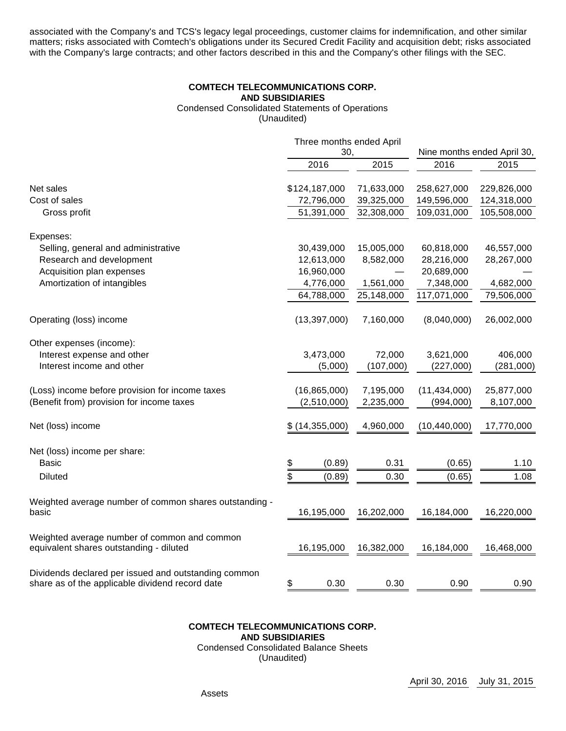associated with the Company's and TCS's legacy legal proceedings, customer claims for indemnification, and other similar matters; risks associated with Comtech's obligations under its Secured Credit Facility and acquisition debt; risks associated with the Company's large contracts; and other factors described in this and the Company's other filings with the SEC.

## **COMTECH TELECOMMUNICATIONS CORP. AND SUBSIDIARIES** Condensed Consolidated Statements of Operations

(Unaudited)

| Three months ended April<br>30, |            |                             |             |
|---------------------------------|------------|-----------------------------|-------------|
|                                 |            | Nine months ended April 30, |             |
| 2016                            | 2015       | 2016                        | 2015        |
| \$124,187,000                   | 71,633,000 | 258,627,000                 | 229,826,000 |
| 72,796,000                      | 39,325,000 | 149,596,000                 | 124,318,000 |
| 51,391,000                      | 32,308,000 | 109,031,000                 | 105,508,000 |
|                                 |            |                             |             |
| 30,439,000                      | 15,005,000 | 60,818,000                  | 46,557,000  |
| 12,613,000                      | 8,582,000  | 28,216,000                  | 28,267,000  |
| 16,960,000                      |            | 20,689,000                  |             |
| 4,776,000                       | 1,561,000  | 7,348,000                   | 4,682,000   |
| 64,788,000                      | 25,148,000 | 117,071,000                 | 79,506,000  |
| (13, 397, 000)                  | 7,160,000  | (8,040,000)                 | 26,002,000  |
|                                 |            |                             |             |
| 3,473,000                       | 72,000     | 3,621,000                   | 406,000     |
| (5,000)                         | (107,000)  | (227,000)                   | (281,000)   |
| (16, 865, 000)                  | 7,195,000  | (11, 434, 000)              | 25,877,000  |
| (2,510,000)                     | 2,235,000  | (994,000)                   | 8,107,000   |
| \$(14,355,000)                  | 4,960,000  | (10, 440, 000)              | 17,770,000  |
|                                 |            |                             |             |
| \$<br>(0.89)                    | 0.31       | (0.65)                      | 1.10        |
| \$<br>(0.89)                    | 0.30       | (0.65)                      | 1.08        |
| 16,195,000                      |            | 16,184,000                  | 16,220,000  |
|                                 |            |                             |             |
| 16,195,000                      | 16,382,000 | 16,184,000                  | 16,468,000  |
|                                 |            |                             |             |
| \$<br>0.30                      | 0.30       | 0.90                        | 0.90        |
|                                 |            | 16,202,000                  |             |

#### **COMTECH TELECOMMUNICATIONS CORP. AND SUBSIDIARIES** Condensed Consolidated Balance Sheets

(Unaudited)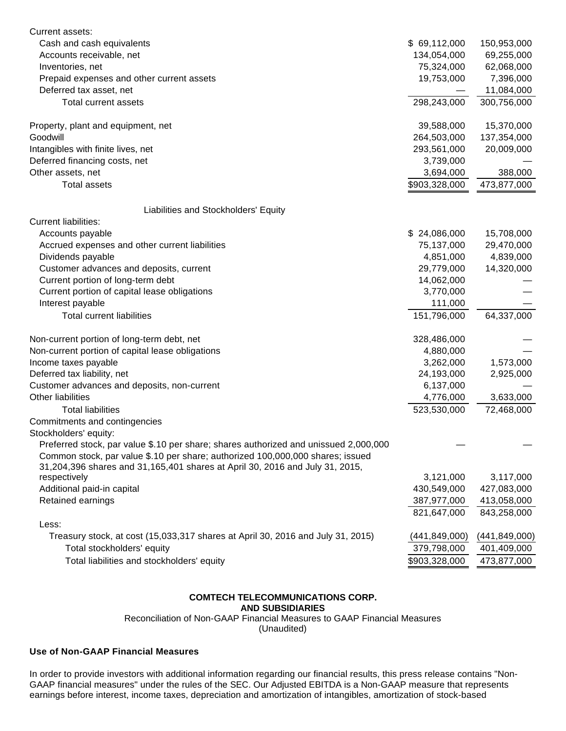| Current assets:                                                                      |                 |                 |
|--------------------------------------------------------------------------------------|-----------------|-----------------|
| Cash and cash equivalents                                                            | \$69,112,000    | 150,953,000     |
| Accounts receivable, net                                                             | 134,054,000     | 69,255,000      |
| Inventories, net                                                                     | 75,324,000      | 62,068,000      |
| Prepaid expenses and other current assets                                            | 19,753,000      | 7,396,000       |
| Deferred tax asset, net                                                              |                 | 11,084,000      |
| <b>Total current assets</b>                                                          | 298,243,000     | 300,756,000     |
| Property, plant and equipment, net                                                   | 39,588,000      | 15,370,000      |
| Goodwill                                                                             | 264,503,000     | 137,354,000     |
| Intangibles with finite lives, net                                                   | 293,561,000     | 20,009,000      |
| Deferred financing costs, net                                                        | 3,739,000       |                 |
| Other assets, net                                                                    | 3,694,000       | 388,000         |
| <b>Total assets</b>                                                                  | \$903,328,000   | 473,877,000     |
| Liabilities and Stockholders' Equity                                                 |                 |                 |
| <b>Current liabilities:</b>                                                          |                 |                 |
| Accounts payable                                                                     | \$24,086,000    | 15,708,000      |
| Accrued expenses and other current liabilities                                       | 75,137,000      | 29,470,000      |
| Dividends payable                                                                    | 4,851,000       | 4,839,000       |
| Customer advances and deposits, current                                              | 29,779,000      | 14,320,000      |
| Current portion of long-term debt                                                    | 14,062,000      |                 |
|                                                                                      |                 |                 |
| Current portion of capital lease obligations                                         | 3,770,000       |                 |
| Interest payable                                                                     | 111,000         |                 |
| <b>Total current liabilities</b>                                                     | 151,796,000     | 64,337,000      |
| Non-current portion of long-term debt, net                                           | 328,486,000     |                 |
| Non-current portion of capital lease obligations                                     | 4,880,000       |                 |
| Income taxes payable                                                                 | 3,262,000       | 1,573,000       |
| Deferred tax liability, net                                                          | 24,193,000      | 2,925,000       |
| Customer advances and deposits, non-current                                          | 6,137,000       |                 |
| <b>Other liabilities</b>                                                             | 4,776,000       | 3,633,000       |
| <b>Total liabilities</b>                                                             | 523,530,000     | 72,468,000      |
| Commitments and contingencies                                                        |                 |                 |
| Stockholders' equity:                                                                |                 |                 |
| Preferred stock, par value \$.10 per share; shares authorized and unissued 2,000,000 |                 |                 |
| Common stock, par value \$.10 per share; authorized 100,000,000 shares; issued       |                 |                 |
| 31,204,396 shares and 31,165,401 shares at April 30, 2016 and July 31, 2015,         |                 |                 |
| respectively                                                                         | 3,121,000       | 3,117,000       |
| Additional paid-in capital                                                           | 430,549,000     | 427,083,000     |
| Retained earnings                                                                    | 387,977,000     | 413,058,000     |
|                                                                                      | 821,647,000     | 843,258,000     |
| Less:                                                                                |                 |                 |
| Treasury stock, at cost (15,033,317 shares at April 30, 2016 and July 31, 2015)      | (441, 849, 000) | (441, 849, 000) |
| Total stockholders' equity                                                           | 379,798,000     | 401,409,000     |
| Total liabilities and stockholders' equity                                           | \$903,328,000   | 473,877,000     |

### **COMTECH TELECOMMUNICATIONS CORP.**

**AND SUBSIDIARIES**

Reconciliation of Non-GAAP Financial Measures to GAAP Financial Measures

(Unaudited)

### **Use of Non-GAAP Financial Measures**

In order to provide investors with additional information regarding our financial results, this press release contains "Non-GAAP financial measures" under the rules of the SEC. Our Adjusted EBITDA is a Non-GAAP measure that represents earnings before interest, income taxes, depreciation and amortization of intangibles, amortization of stock-based